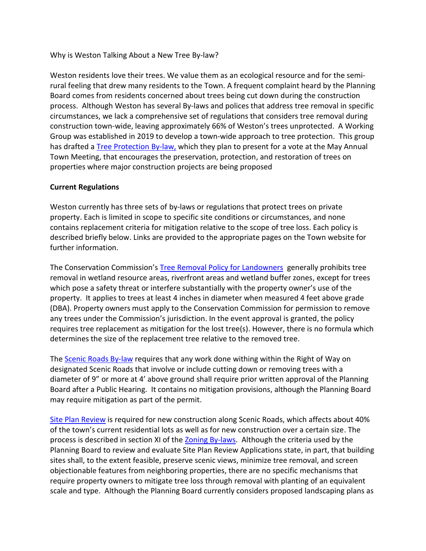Why is Weston Talking About a New Tree By-law?

Weston residents love their trees. We value them as an ecological resource and for the semirural feeling that drew many residents to the Town. A frequent complaint heard by the Planning Board comes from residents concerned about trees being cut down during the construction process. Although Weston has several By-laws and polices that address tree removal in specific circumstances, we lack a comprehensive set of regulations that considers tree removal during construction town-wide, leaving approximately 66% of Weston's trees unprotected. A Working Group was established in 2019 to develop a town-wide approach to tree protection. This group has drafted a [Tree Protection By-law,](https://www.westonma.gov/DocumentCenter/View/32424/Proposed-Zoning-Bylaw-Amendment-for-Sustainable-Tree-Initiative) which they plan to present for a vote at the May Annual Town Meeting, that encourages the preservation, protection, and restoration of trees on properties where major construction projects are being proposed

## **Current Regulations**

Weston currently has three sets of by-laws or regulations that protect trees on private property. Each is limited in scope to specific site conditions or circumstances, and none contains replacement criteria for mitigation relative to the scope of tree loss. Each policy is described briefly below. Links are provided to the appropriate pages on the Town website for further information.

The Conservation Commission's [Tree Removal Policy for Landowners](https://www.westonma.gov/DocumentCenter/View/3445/Weston-Tree-Removal-Policy-PDF?bidId=) generally prohibits tree removal in wetland resource areas, riverfront areas and wetland buffer zones, except for trees which pose a safety threat or interfere substantially with the property owner's use of the property. It applies to trees at least 4 inches in diameter when measured 4 feet above grade (DBA). Property owners must apply to the Conservation Commission for permission to remove any trees under the Commission's jurisdiction. In the event approval is granted, the policy requires tree replacement as mitigation for the lost tree(s). However, there is no formula which determines the size of the replacement tree relative to the removed tree.

The [Scenic Roads By-law](https://www.westonma.gov/699/Scenic-Roads) requires that any work done withing within the Right of Way on designated Scenic Roads that involve or include cutting down or removing trees with a diameter of 9" or more at 4' above ground shall require prior written approval of the Planning Board after a Public Hearing. It contains no mitigation provisions, although the Planning Board may require mitigation as part of the permit.

[Site Plan Review](https://www.westonma.gov/1246/Site-Plan-Approval) is required for new construction along Scenic Roads, which affects about 40% of the town's current residential lots as well as for new construction over a certain size. The process is described in section XI of th[e Zoning By-laws.](https://www.westonma.gov/DocumentCenter/View/280/The-Zoning-By-laws-of-the-Town-of-Weston-PDF) Although the criteria used by the Planning Board to review and evaluate Site Plan Review Applications state, in part, that building sites shall, to the extent feasible, preserve scenic views, minimize tree removal, and screen objectionable features from neighboring properties, there are no specific mechanisms that require property owners to mitigate tree loss through removal with planting of an equivalent scale and type. Although the Planning Board currently considers proposed landscaping plans as